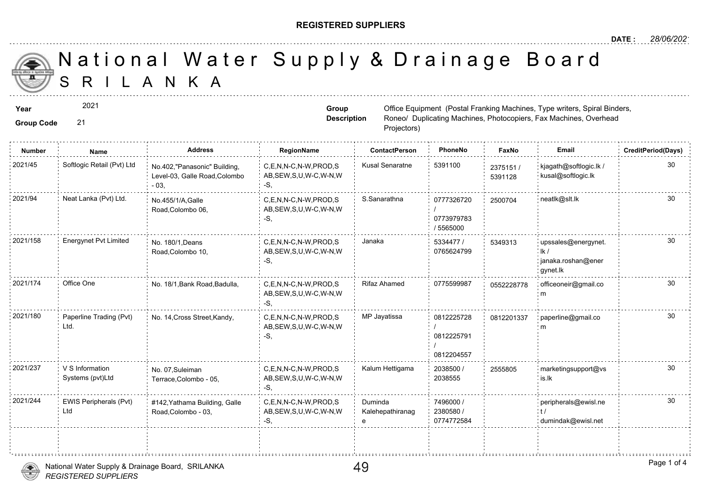## **REGISTERED SUPPLIERS**

S R I L A N K A National Water Supply & Drainage

| Year<br><b>Group Code</b> | 2021<br>21                        |                                                                         | Office Equipment (Postal Franking Ma<br>Group<br><b>Description</b><br>Roneo/ Duplicating Machines, Photoc<br>Projectors) |                      |                                       |                  |  |
|---------------------------|-----------------------------------|-------------------------------------------------------------------------|---------------------------------------------------------------------------------------------------------------------------|----------------------|---------------------------------------|------------------|--|
| Number                    | Name                              | <b>Address</b>                                                          | RegionName                                                                                                                | <b>ContactPerson</b> | PhoneNo                               | Faxl             |  |
| 2021/45                   | Softlogic Retail (Pvt) Ltd        | No.402, "Panasonic" Building,<br>Level-03, Galle Road, Colombo<br>$-03$ | C,E,N,N-C,N-W,PROD,S<br>AB, SEW, S, U, W-C, W-N, W<br>$-S$ ,                                                              | Kusal Senaratne      | 5391100                               | 237515<br>539112 |  |
| 2021/94                   | Neat Lanka (Pvt) Ltd.             | No.455/1/A, Galle<br>Road, Colombo 06,                                  | C,E,N,N-C,N-W,PROD,S<br>AB, SEW, S, U, W-C, W-N, W<br>-S,                                                                 | S.Sanarathna         | 0777326720<br>0773979783<br>/ 5565000 | 250070           |  |
| 2021/158                  | <b>Energynet Pvt Limited</b>      | No. 180/1. Deans<br>Road, Colombo 10,                                   | C,E,N,N-C,N-W,PROD,S<br>AB, SEW, S, U, W-C, W-N, W<br>-S,                                                                 | Janaka               | 5334477 /<br>0765624799               | 534931           |  |
| 2021/174                  | Office One                        | No. 18/1, Bank Road, Badulla,                                           | C,E,N,N-C,N-W,PROD,S<br>AB, SEW, S, U, W-C, W-N, W<br>-S.                                                                 | Rifaz Ahamed         | 0775599987                            | 055222           |  |
| 2021/180                  | Paperline Trading (Pvt)<br>: Ltd. | No. 14, Cross Street, Kandy,                                            | C,E,N,N-C,N-W,PROD,S<br>AB, SEW, S, U, W-C, W-N, W                                                                        | MP Jayatissa         | 0812225728                            | 081220           |  |

|          |                                      |                                                      | $7.0$ .                                            |                             | 0812225791<br>0812204557             |        |
|----------|--------------------------------------|------------------------------------------------------|----------------------------------------------------|-----------------------------|--------------------------------------|--------|
| 2021/237 | V S Information<br>Systems (pvt)Ltd  | No. 07, Suleiman<br>Terrace, Colombo - 05,           | C,E,N,N-C,N-W,PROD,S<br>AB, SEW, S, U, W-C, W-N, W | Kalum Hettigama             | 2038500 /<br>2038555                 | 255580 |
| 2021/244 | <b>EWIS Peripherals (Pvt)</b><br>Ltd | #142, Yathama Building, Galle<br>Road, Colombo - 03, | C,E,N,N-C,N-W,PROD,S<br>AB, SEW, S, U, W-C, W-N, W | Duminda<br>Kalehepathiranag | 7496000 /<br>2380580 /<br>0774772584 |        |
|          |                                      |                                                      |                                                    |                             |                                      |        |

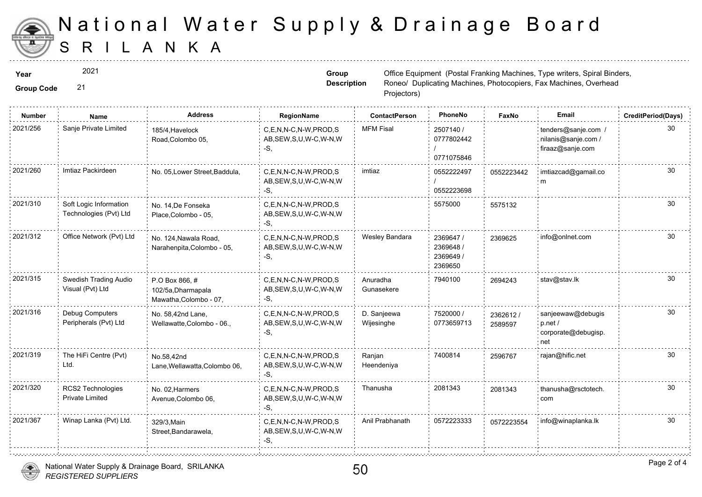

## S R I L A N K A National Water Supply & Drainage

2021

**Group Code** 21

**Group Description**

**Year**  $2021$  2021 **The Equipment (Postal Franking Machines, Type William Science of Group Cffice Equipment (Postal Franking Machines, Type Machines, Spiral Binders, Spiral Binders, Spiral Binders, Spiral Binders, Spiral B** Roneo/ Duplicating Machines, Photoc Projectors)

| Sanje Private Limited<br><b>MFM Fisal</b><br>C,E,N,N-C,N-W,PROD,S<br>2507140 /<br>185/4, Havelock<br>AB, SEW, S, U, W-C, W-N, W<br>0777802442<br>Road, Colombo 05,<br>$-S$ .<br>0771075846<br>Imtiaz Packirdeen<br>imtiaz<br>No. 05, Lower Street, Baddula,<br>C.E.N.N-C.N-W.PROD.S<br>0552222497<br>055222<br>AB, SEW, S, U, W-C, W-N, W<br>0552223698<br>-S,<br>5575000<br>Soft Logic Information<br>C,E,N,N-C,N-W,PROD,S<br>No. 14, De Fonseka<br>557513<br>Technologies (Pvt) Ltd<br>AB, SEW, S, U, W-C, W-N, W<br>Place, Colombo - 05,<br>-S.<br>Office Network (Pvt) Ltd<br>Wesley Bandara<br>2369647 /<br>C,E,N,N-C,N-W,PROD,S<br>236962<br>No. 124, Nawala Road,<br>2369648 /<br>AB, SEW, S, U, W-C, W-N, W<br>Narahenpita, Colombo - 05,<br>2369649 /<br>$-S$ .<br>2369650<br>Swedish Trading Audio<br>7940100<br>C,E,N,N-C,N-W,PROD,S<br>Anuradha<br>269424<br>P.O Box 866, #<br>Visual (Pvt) Ltd<br>AB, SEW, S, U, W-C, W-N, W<br>Gunasekere<br>102/5a, Dharmapala<br>Mawatha, Colombo - 07,<br>-S,<br>Debug Computers<br>7520000 /<br>C.E.N.N-C.N-W.PROD.S<br>D. Sanjeewa<br>No. 58,42nd Lane,<br>236261<br>Peripherals (Pvt) Ltd<br>AB, SEW, S, U, W-C, W-N, W<br>Wijesinghe<br>0773659713<br>Wellawatte, Colombo - 06.,<br>258959<br>$-S$ .<br>The HiFi Centre (Pvt)<br>7400814<br>C.E.N.N-C.N-W.PROD.S<br>Ranjan<br>No.58,42nd<br>259676<br>Ltd.<br>AB, SEW, S, U, W-C, W-N, W<br>Heendeniya<br>Lane, Wellawatta, Colombo 06,<br>-S,<br>2081343<br>RCS2 Technologies<br>Thanusha<br>C,E,N,N-C,N-W,PROD,S<br>No. 02. Harmers<br>208134<br><b>Private Limited</b><br>AB, SEW, S, U, W-C, W-N, W<br>Avenue, Colombo 06,<br>-S.<br>2021/367<br>Winap Lanka (Pvt) Ltd.<br>Anil Prabhanath<br>0572223333<br>C,E,N,N-C,N-W,PROD,S<br>057222<br>329/3, Main<br>AB, SEW, S, U, W-C, W-N, W<br>Street, Bandarawela,<br>-S, | Number   | Name | <b>Address</b> | RegionName | <b>ContactPerson</b> | PhoneNo | Faxl |
|---------------------------------------------------------------------------------------------------------------------------------------------------------------------------------------------------------------------------------------------------------------------------------------------------------------------------------------------------------------------------------------------------------------------------------------------------------------------------------------------------------------------------------------------------------------------------------------------------------------------------------------------------------------------------------------------------------------------------------------------------------------------------------------------------------------------------------------------------------------------------------------------------------------------------------------------------------------------------------------------------------------------------------------------------------------------------------------------------------------------------------------------------------------------------------------------------------------------------------------------------------------------------------------------------------------------------------------------------------------------------------------------------------------------------------------------------------------------------------------------------------------------------------------------------------------------------------------------------------------------------------------------------------------------------------------------------------------------------------------------------------------------------------------------------------------------------------|----------|------|----------------|------------|----------------------|---------|------|
|                                                                                                                                                                                                                                                                                                                                                                                                                                                                                                                                                                                                                                                                                                                                                                                                                                                                                                                                                                                                                                                                                                                                                                                                                                                                                                                                                                                                                                                                                                                                                                                                                                                                                                                                                                                                                                 | 2021/256 |      |                |            |                      |         |      |
|                                                                                                                                                                                                                                                                                                                                                                                                                                                                                                                                                                                                                                                                                                                                                                                                                                                                                                                                                                                                                                                                                                                                                                                                                                                                                                                                                                                                                                                                                                                                                                                                                                                                                                                                                                                                                                 | 2021/260 |      |                |            |                      |         |      |
|                                                                                                                                                                                                                                                                                                                                                                                                                                                                                                                                                                                                                                                                                                                                                                                                                                                                                                                                                                                                                                                                                                                                                                                                                                                                                                                                                                                                                                                                                                                                                                                                                                                                                                                                                                                                                                 | 2021/310 |      |                |            |                      |         |      |
|                                                                                                                                                                                                                                                                                                                                                                                                                                                                                                                                                                                                                                                                                                                                                                                                                                                                                                                                                                                                                                                                                                                                                                                                                                                                                                                                                                                                                                                                                                                                                                                                                                                                                                                                                                                                                                 | 2021/312 |      |                |            |                      |         |      |
|                                                                                                                                                                                                                                                                                                                                                                                                                                                                                                                                                                                                                                                                                                                                                                                                                                                                                                                                                                                                                                                                                                                                                                                                                                                                                                                                                                                                                                                                                                                                                                                                                                                                                                                                                                                                                                 | 2021/315 |      |                |            |                      |         |      |
|                                                                                                                                                                                                                                                                                                                                                                                                                                                                                                                                                                                                                                                                                                                                                                                                                                                                                                                                                                                                                                                                                                                                                                                                                                                                                                                                                                                                                                                                                                                                                                                                                                                                                                                                                                                                                                 | 2021/316 |      |                |            |                      |         |      |
|                                                                                                                                                                                                                                                                                                                                                                                                                                                                                                                                                                                                                                                                                                                                                                                                                                                                                                                                                                                                                                                                                                                                                                                                                                                                                                                                                                                                                                                                                                                                                                                                                                                                                                                                                                                                                                 | 2021/319 |      |                |            |                      |         |      |
|                                                                                                                                                                                                                                                                                                                                                                                                                                                                                                                                                                                                                                                                                                                                                                                                                                                                                                                                                                                                                                                                                                                                                                                                                                                                                                                                                                                                                                                                                                                                                                                                                                                                                                                                                                                                                                 | 2021/320 |      |                |            |                      |         |      |
|                                                                                                                                                                                                                                                                                                                                                                                                                                                                                                                                                                                                                                                                                                                                                                                                                                                                                                                                                                                                                                                                                                                                                                                                                                                                                                                                                                                                                                                                                                                                                                                                                                                                                                                                                                                                                                 |          |      |                |            |                      |         |      |



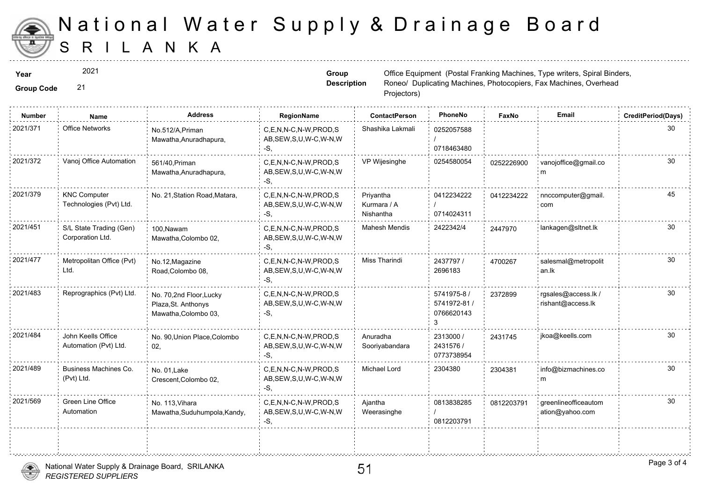

## S R I L A N K A National Water Supply & Drainage

2021

**Group Code** 21

**Group Description**

**Year**  $2021$  2021 **The Equipment (Postal Franking Machines, Type William Science of Group Cffice Equipment (Postal Franking Machines, Type Machines, Spiral Binders, Spiral Binders, Spiral Binders, Spiral Binders, Spiral B** Roneo/ Duplicating Machines, Photoc Projectors)

| <b>Number</b> | Name                                           | <b>Address</b>                                                         | RegionName                                                   | <b>ContactPerson</b>                  | PhoneNo                                        | Faxl   |
|---------------|------------------------------------------------|------------------------------------------------------------------------|--------------------------------------------------------------|---------------------------------------|------------------------------------------------|--------|
| 2021/371      | <b>Office Networks</b>                         | No.512/A, Priman<br>Mawatha, Anuradhapura,                             | C,E,N,N-C,N-W,PROD,S<br>AB, SEW, S, U, W-C, W-N, W<br>$-S,$  | Shashika Lakmali                      | 0252057588<br>0718463480                       |        |
| 2021/372      | Vanoj Office Automation                        | 561/40, Priman<br>Mawatha, Anuradhapura,                               | C.E.N.N-C.N-W.PROD.S<br>AB, SEW, S, U, W-C, W-N, W<br>$-S$ . | VP Wijesinghe                         | 0254580054                                     | 025222 |
| 2021/379      | <b>KNC Computer</b><br>Technologies (Pvt) Ltd. | No. 21, Station Road, Matara,                                          | C,E,N,N-C,N-W,PROD,S<br>AB, SEW, S, U, W-C, W-N, W<br>-S.    | Priyantha<br>Kurmara / A<br>Nishantha | 0412234222<br>0714024311                       | 041223 |
| 2021/451      | S/L State Trading (Gen)<br>Corporation Ltd.    | 100.Nawam<br>Mawatha, Colombo 02,                                      | C.E.N.N-C.N-W.PROD.S<br>AB, SEW, S, U, W-C, W-N, W<br>-S.    | <b>Mahesh Mendis</b>                  | 2422342/4                                      | 244797 |
| 2021/477      | Metropolitan Office (Pvt)<br>Ltd.              | No.12, Magazine<br>Road, Colombo 08,                                   | C,E,N,N-C,N-W,PROD,S<br>AB, SEW, S, U, W-C, W-N, W<br>-S.    | <b>Miss Tharindi</b>                  | 2437797/<br>2696183                            | 470026 |
| 2021/483      | Reprographics (Pvt) Ltd.                       | No. 70,2nd Floor, Lucky<br>Plaza, St. Anthonys<br>Mawatha, Colombo 03, | C.E.N.N-C.N-W.PROD.S<br>AB, SEW, S, U, W-C, W-N, W<br>$-S,$  |                                       | 5741975-8 /<br>5741972-81 /<br>0766620143<br>3 | 237289 |
| 2021/484      | John Keells Office<br>Automation (Pvt) Ltd.    | No. 90, Union Place, Colombo<br>02,                                    | C,E,N,N-C,N-W,PROD,S<br>AB, SEW, S, U, W-C, W-N, W<br>-S,    | Anuradha<br>Sooriyabandara            | 2313000 /<br>2431576 /<br>0773738954           | 243174 |
| 2021/489      | Business Machines Co.<br>(Pvt) Ltd.            | No. 01. Lake<br>Crescent, Colombo 02,                                  | C,E,N,N-C,N-W,PROD,S<br>AB, SEW, S, U, W-C, W-N, W<br>-S.    | <b>Michael Lord</b>                   | 2304380                                        | 230438 |
| 2021/569      | Green Line Office<br>Automation                | No. 113, Vihara<br>Mawatha, Suduhumpola, Kandy,                        | C,E,N,N-C,N-W,PROD,S<br>AB, SEW, S, U, W-C, W-N, W<br>-S,    | Ajantha<br>Weerasinghe                | 0813838285<br>0812203791                       | 081220 |
|               |                                                |                                                                        |                                                              |                                       |                                                |        |